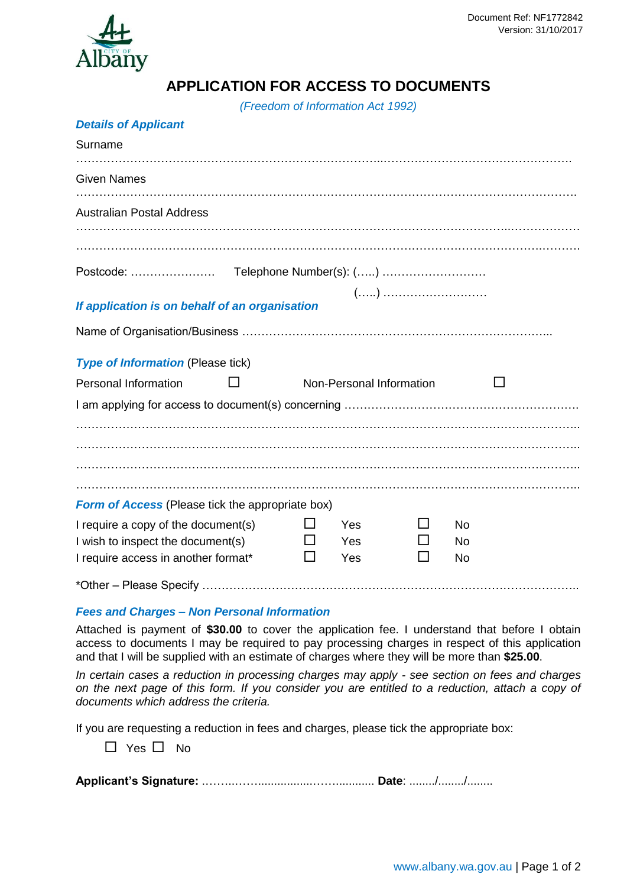

## **APPLICATION FOR ACCESS TO DOCUMENTS**

*(Freedom of Information Act 1992)*

| <b>Details of Applicant</b> |  |  |
|-----------------------------|--|--|
|-----------------------------|--|--|

| Surname                                                                  |  |              |                          |  |           |  |  |
|--------------------------------------------------------------------------|--|--------------|--------------------------|--|-----------|--|--|
| <b>Given Names</b>                                                       |  |              |                          |  |           |  |  |
| <b>Australian Postal Address</b>                                         |  |              |                          |  |           |  |  |
|                                                                          |  |              |                          |  |           |  |  |
|                                                                          |  |              |                          |  |           |  |  |
| If application is on behalf of an organisation                           |  |              |                          |  |           |  |  |
|                                                                          |  |              |                          |  |           |  |  |
| <b>Type of Information (Please tick)</b>                                 |  |              |                          |  |           |  |  |
| <b>Personal Information</b>                                              |  |              | Non-Personal Information |  |           |  |  |
|                                                                          |  |              |                          |  |           |  |  |
|                                                                          |  |              |                          |  |           |  |  |
|                                                                          |  |              |                          |  |           |  |  |
|                                                                          |  |              |                          |  |           |  |  |
| <b>Form of Access</b> (Please tick the appropriate box)                  |  |              |                          |  |           |  |  |
| I require a copy of the document(s)                                      |  | $\mathsf{L}$ | Yes                      |  | <b>No</b> |  |  |
| I wish to inspect the document(s)<br>I require access in another format* |  |              | Yes<br>Yes               |  | No<br>No. |  |  |
|                                                                          |  |              |                          |  |           |  |  |

## *Fees and Charges – Non Personal Information*

Attached is payment of **\$30.00** to cover the application fee. I understand that before I obtain access to documents I may be required to pay processing charges in respect of this application and that I will be supplied with an estimate of charges where they will be more than **\$25.00**.

*In certain cases a reduction in processing charges may apply - see section on fees and charges on the next page of this form. If you consider you are entitled to a reduction, attach a copy of documents which address the criteria.*

If you are requesting a reduction in fees and charges, please tick the appropriate box:

 $\Box$  Yes  $\Box$  No

**Applicant's Signature:** .……..…….................……............ **Date**: ......../......../........